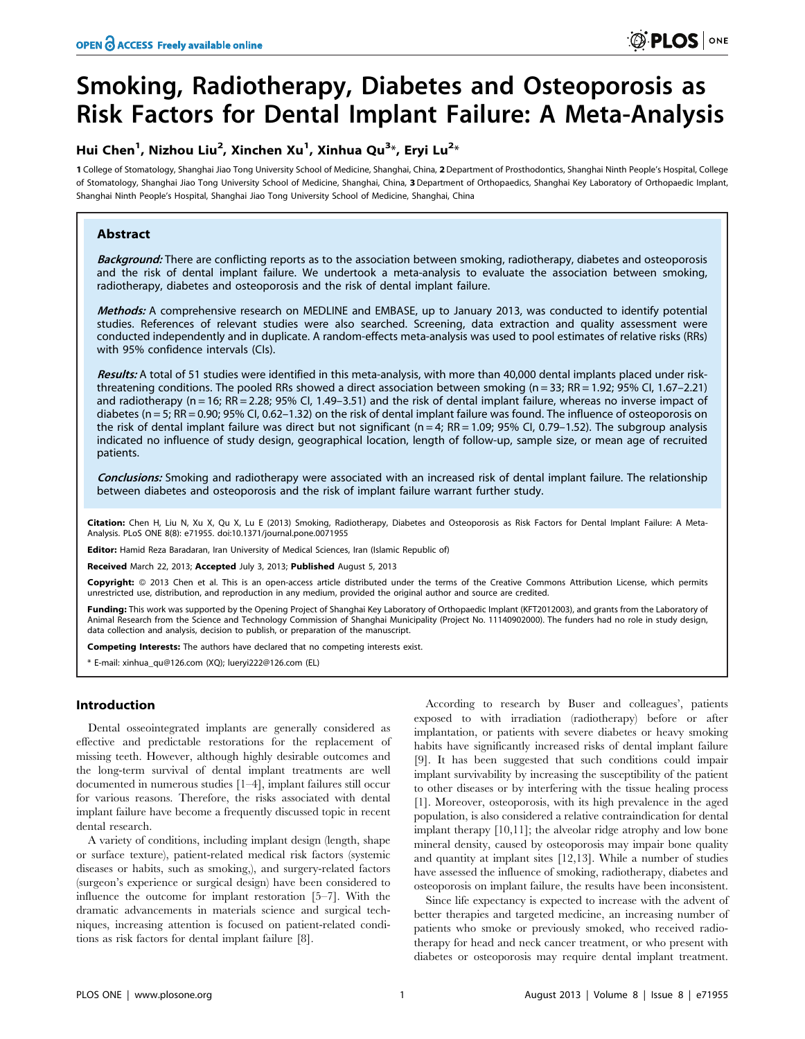# Smoking, Radiotherapy, Diabetes and Osteoporosis as Risk Factors for Dental Implant Failure: A Meta-Analysis

## Hui Chen<sup>1</sup>, Nizhou Liu<sup>2</sup>, Xinchen Xu<sup>1</sup>, Xinhua Qu<sup>3</sup>\*, Eryi Lu<sup>2</sup>\*

1 College of Stomatology, Shanghai Jiao Tong University School of Medicine, Shanghai, China, 2 Department of Prosthodontics, Shanghai Ninth People's Hospital, College of Stomatology, Shanghai Jiao Tong University School of Medicine, Shanghai, China, 3 Department of Orthopaedics, Shanghai Key Laboratory of Orthopaedic Implant, Shanghai Ninth People's Hospital, Shanghai Jiao Tong University School of Medicine, Shanghai, China

## Abstract

Background: There are conflicting reports as to the association between smoking, radiotherapy, diabetes and osteoporosis and the risk of dental implant failure. We undertook a meta-analysis to evaluate the association between smoking, radiotherapy, diabetes and osteoporosis and the risk of dental implant failure.

Methods: A comprehensive research on MEDLINE and EMBASE, up to January 2013, was conducted to identify potential studies. References of relevant studies were also searched. Screening, data extraction and quality assessment were conducted independently and in duplicate. A random-effects meta-analysis was used to pool estimates of relative risks (RRs) with 95% confidence intervals (CIs).

Results: A total of 51 studies were identified in this meta-analysis, with more than 40,000 dental implants placed under riskthreatening conditions. The pooled RRs showed a direct association between smoking (n = 33; RR = 1.92; 95% CI, 1.67–2.21) and radiotherapy (n = 16; RR = 2.28; 95% CI, 1.49-3.51) and the risk of dental implant failure, whereas no inverse impact of diabetes (n = 5; RR = 0.90; 95% CI, 0.62-1.32) on the risk of dental implant failure was found. The influence of osteoporosis on the risk of dental implant failure was direct but not significant ( $n = 4$ ; RR = 1.09; 95% CI, 0.79–1.52). The subgroup analysis indicated no influence of study design, geographical location, length of follow-up, sample size, or mean age of recruited patients.

Conclusions: Smoking and radiotherapy were associated with an increased risk of dental implant failure. The relationship between diabetes and osteoporosis and the risk of implant failure warrant further study.

Citation: Chen H, Liu N, Xu X, Qu X, Lu E (2013) Smoking, Radiotherapy, Diabetes and Osteoporosis as Risk Factors for Dental Implant Failure: A Meta-Analysis. PLoS ONE 8(8): e71955. doi:10.1371/journal.pone.0071955

Editor: Hamid Reza Baradaran, Iran University of Medical Sciences, Iran (Islamic Republic of)

Received March 22, 2013; Accepted July 3, 2013; Published August 5, 2013

Copyright: © 2013 Chen et al. This is an open-access article distributed under the terms of the Creative Commons Attribution License, which permits unrestricted use, distribution, and reproduction in any medium, provided the original author and source are credited.

Funding: This work was supported by the Opening Project of Shanghai Key Laboratory of Orthopaedic Implant (KFT2012003), and grants from the Laboratory of Animal Research from the Science and Technology Commission of Shanghai Municipality (Project No. 11140902000). The funders had no role in study design, data collection and analysis, decision to publish, or preparation of the manuscript.

Competing Interests: The authors have declared that no competing interests exist.

\* E-mail: xinhua\_qu@126.com (XQ); lueryi222@126.com (EL)

## Introduction

Dental osseointegrated implants are generally considered as effective and predictable restorations for the replacement of missing teeth. However, although highly desirable outcomes and the long-term survival of dental implant treatments are well documented in numerous studies [1–4], implant failures still occur for various reasons. Therefore, the risks associated with dental implant failure have become a frequently discussed topic in recent dental research.

A variety of conditions, including implant design (length, shape or surface texture), patient-related medical risk factors (systemic diseases or habits, such as smoking,), and surgery-related factors (surgeon's experience or surgical design) have been considered to influence the outcome for implant restoration [5–7]. With the dramatic advancements in materials science and surgical techniques, increasing attention is focused on patient-related conditions as risk factors for dental implant failure [8].

According to research by Buser and colleagues', patients exposed to with irradiation (radiotherapy) before or after implantation, or patients with severe diabetes or heavy smoking habits have significantly increased risks of dental implant failure [9]. It has been suggested that such conditions could impair implant survivability by increasing the susceptibility of the patient to other diseases or by interfering with the tissue healing process [1]. Moreover, osteoporosis, with its high prevalence in the aged population, is also considered a relative contraindication for dental implant therapy [10,11]; the alveolar ridge atrophy and low bone mineral density, caused by osteoporosis may impair bone quality and quantity at implant sites [12,13]. While a number of studies have assessed the influence of smoking, radiotherapy, diabetes and osteoporosis on implant failure, the results have been inconsistent.

Since life expectancy is expected to increase with the advent of better therapies and targeted medicine, an increasing number of patients who smoke or previously smoked, who received radiotherapy for head and neck cancer treatment, or who present with diabetes or osteoporosis may require dental implant treatment.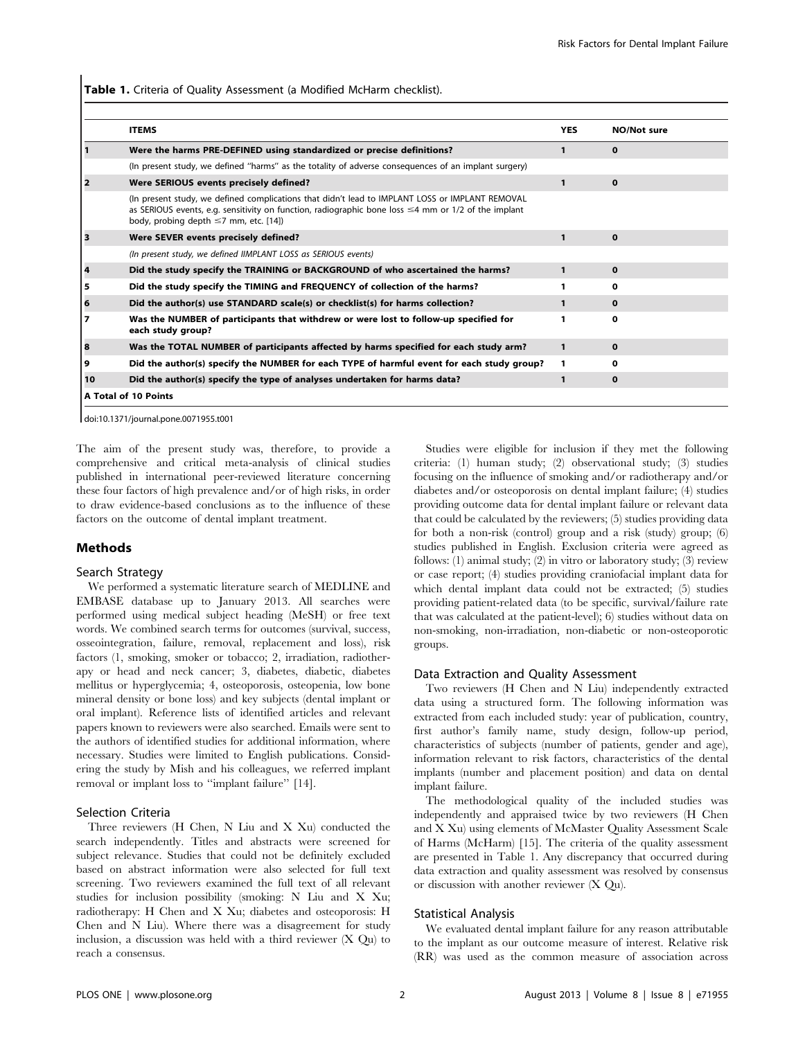Table 1. Criteria of Quality Assessment (a Modified McHarm checklist).

|                         | <b>ITEMS</b>                                                                                                                                                                                                                                                | <b>YES</b>   | <b>NO/Not sure</b> |
|-------------------------|-------------------------------------------------------------------------------------------------------------------------------------------------------------------------------------------------------------------------------------------------------------|--------------|--------------------|
|                         | Were the harms PRE-DEFINED using standardized or precise definitions?                                                                                                                                                                                       | $\mathbf{1}$ | $\bf{0}$           |
|                         | (In present study, we defined "harms" as the totality of adverse consequences of an implant surgery)                                                                                                                                                        |              |                    |
| $\overline{\mathbf{z}}$ | Were SERIOUS events precisely defined?                                                                                                                                                                                                                      | $\mathbf{1}$ | $\bf{0}$           |
|                         | (In present study, we defined complications that didn't lead to IMPLANT LOSS or IMPLANT REMOVAL<br>as SERIOUS events, e.g. sensitivity on function, radiographic bone loss $\leq$ 4 mm or 1/2 of the implant<br>body, probing depth $\leq$ 7 mm, etc. [14]) |              |                    |
| з                       | Were SEVER events precisely defined?                                                                                                                                                                                                                        | $\mathbf{1}$ | $\mathbf{o}$       |
|                         | (In present study, we defined IIMPLANT LOSS as SERIOUS events)                                                                                                                                                                                              |              |                    |
| 4                       | Did the study specify the TRAINING or BACKGROUND of who ascertained the harms?                                                                                                                                                                              | 1            | $\bf{o}$           |
| 5                       | Did the study specify the TIMING and FREQUENCY of collection of the harms?                                                                                                                                                                                  |              | 0                  |
| 6                       | Did the author(s) use STANDARD scale(s) or checklist(s) for harms collection?                                                                                                                                                                               |              | $\bf{0}$           |
| 7                       | Was the NUMBER of participants that withdrew or were lost to follow-up specified for<br>each study group?                                                                                                                                                   |              | $\Omega$           |
| 8                       | Was the TOTAL NUMBER of participants affected by harms specified for each study arm?                                                                                                                                                                        |              | $\mathbf{o}$       |
| 9                       | Did the author(s) specify the NUMBER for each TYPE of harmful event for each study group?                                                                                                                                                                   | 1            | $\Omega$           |
| 10                      | Did the author(s) specify the type of analyses undertaken for harms data?                                                                                                                                                                                   | 1            | $\mathbf{o}$       |
|                         | A Total of 10 Points                                                                                                                                                                                                                                        |              |                    |

doi:10.1371/journal.pone.0071955.t001

The aim of the present study was, therefore, to provide a comprehensive and critical meta-analysis of clinical studies published in international peer-reviewed literature concerning these four factors of high prevalence and/or of high risks, in order to draw evidence-based conclusions as to the influence of these factors on the outcome of dental implant treatment.

## Methods

## Search Strategy

We performed a systematic literature search of MEDLINE and EMBASE database up to January 2013. All searches were performed using medical subject heading (MeSH) or free text words. We combined search terms for outcomes (survival, success, osseointegration, failure, removal, replacement and loss), risk factors (1, smoking, smoker or tobacco; 2, irradiation, radiotherapy or head and neck cancer; 3, diabetes, diabetic, diabetes mellitus or hyperglycemia; 4, osteoporosis, osteopenia, low bone mineral density or bone loss) and key subjects (dental implant or oral implant). Reference lists of identified articles and relevant papers known to reviewers were also searched. Emails were sent to the authors of identified studies for additional information, where necessary. Studies were limited to English publications. Considering the study by Mish and his colleagues, we referred implant removal or implant loss to "implant failure" [14].

#### Selection Criteria

Three reviewers (H Chen, N Liu and X Xu) conducted the search independently. Titles and abstracts were screened for subject relevance. Studies that could not be definitely excluded based on abstract information were also selected for full text screening. Two reviewers examined the full text of all relevant studies for inclusion possibility (smoking: N Liu and X Xu; radiotherapy: H Chen and X Xu; diabetes and osteoporosis: H Chen and N Liu). Where there was a disagreement for study inclusion, a discussion was held with a third reviewer (X Qu) to reach a consensus.

Studies were eligible for inclusion if they met the following criteria: (1) human study; (2) observational study; (3) studies focusing on the influence of smoking and/or radiotherapy and/or diabetes and/or osteoporosis on dental implant failure; (4) studies providing outcome data for dental implant failure or relevant data that could be calculated by the reviewers; (5) studies providing data for both a non-risk (control) group and a risk (study) group; (6) studies published in English. Exclusion criteria were agreed as follows: (1) animal study; (2) in vitro or laboratory study; (3) review or case report; (4) studies providing craniofacial implant data for which dental implant data could not be extracted; (5) studies providing patient-related data (to be specific, survival/failure rate that was calculated at the patient-level); 6) studies without data on non-smoking, non-irradiation, non-diabetic or non-osteoporotic groups.

#### Data Extraction and Quality Assessment

Two reviewers (H Chen and N Liu) independently extracted data using a structured form. The following information was extracted from each included study: year of publication, country, first author's family name, study design, follow-up period, characteristics of subjects (number of patients, gender and age), information relevant to risk factors, characteristics of the dental implants (number and placement position) and data on dental implant failure.

The methodological quality of the included studies was independently and appraised twice by two reviewers (H Chen and X Xu) using elements of McMaster Quality Assessment Scale of Harms (McHarm) [15]. The criteria of the quality assessment are presented in Table 1. Any discrepancy that occurred during data extraction and quality assessment was resolved by consensus or discussion with another reviewer (X Qu).

#### Statistical Analysis

We evaluated dental implant failure for any reason attributable to the implant as our outcome measure of interest. Relative risk (RR) was used as the common measure of association across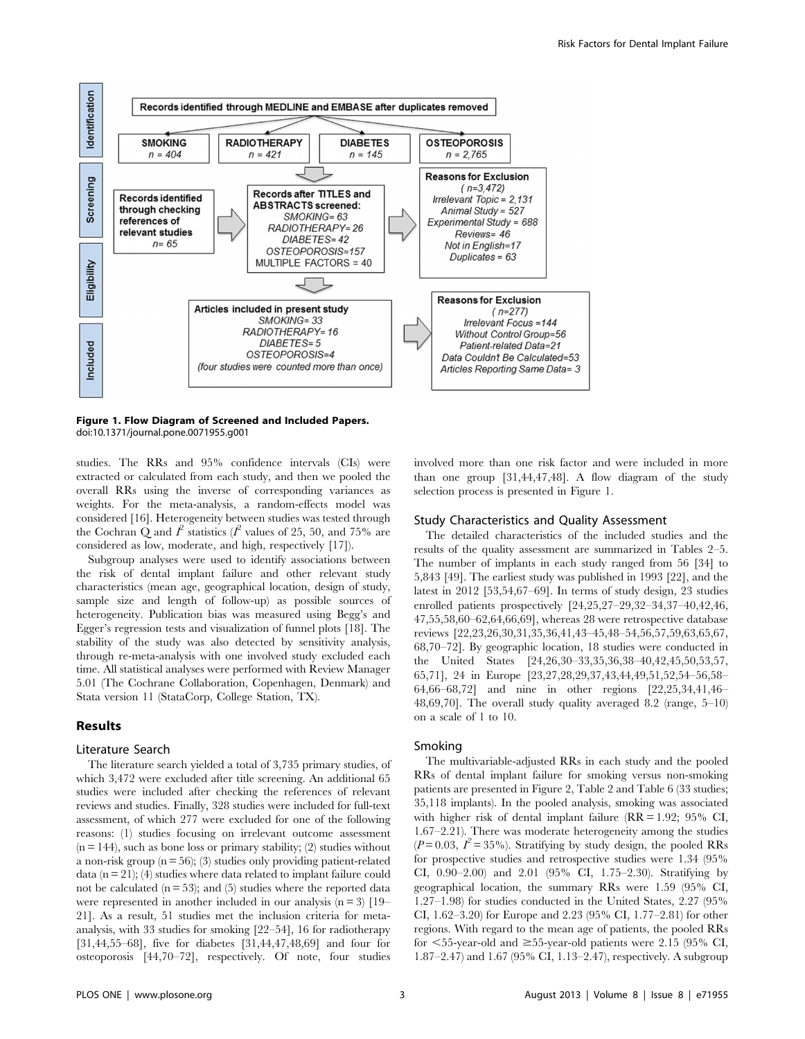

Figure 1. Flow Diagram of Screened and Included Papers. doi:10.1371/journal.pone.0071955.g001

studies. The RRs and 95% confidence intervals (CIs) were extracted or calculated from each study, and then we pooled the overall RRs using the inverse of corresponding variances as weights. For the meta-analysis, a random-effects model was considered [16]. Heterogeneity between studies was tested through the Cochran Q and  $I^2$  statistics ( $I^2$  values of 25, 50, and 75% are considered as low, moderate, and high, respectively [17]).

Subgroup analyses were used to identify associations between the risk of dental implant failure and other relevant study characteristics (mean age, geographical location, design of study, sample size and length of follow-up) as possible sources of heterogeneity. Publication bias was measured using Begg's and Egger's regression tests and visualization of funnel plots [18]. The stability of the study was also detected by sensitivity analysis, through re-meta-analysis with one involved study excluded each time. All statistical analyses were performed with Review Manager 5.01 (The Cochrane Collaboration, Copenhagen, Denmark) and Stata version 11 (StataCorp, College Station, TX).

## Results

## Literature Search

The literature search yielded a total of 3,735 primary studies, of which 3,472 were excluded after title screening. An additional 65 studies were included after checking the references of relevant reviews and studies. Finally, 328 studies were included for full-text assessment, of which 277 were excluded for one of the following reasons: (1) studies focusing on irrelevant outcome assessment  $(n = 144)$ , such as bone loss or primary stability; (2) studies without a non-risk group  $(n = 56)$ ; (3) studies only providing patient-related data  $(n = 21)$ ; (4) studies where data related to implant failure could not be calculated  $(n = 53)$ ; and  $(5)$  studies where the reported data were represented in another included in our analysis  $(n = 3)$  [19– 21]. As a result, 51 studies met the inclusion criteria for metaanalysis, with 33 studies for smoking [22–54], 16 for radiotherapy [31,44,55–68], five for diabetes [31,44,47,48,69] and four for osteoporosis [44,70–72], respectively. Of note, four studies involved more than one risk factor and were included in more than one group [31,44,47,48]. A flow diagram of the study selection process is presented in Figure 1.

#### Study Characteristics and Quality Assessment

The detailed characteristics of the included studies and the results of the quality assessment are summarized in Tables 2–5. The number of implants in each study ranged from 56 [34] to 5,843 [49]. The earliest study was published in 1993 [22], and the latest in 2012 [53,54,67–69]. In terms of study design, 23 studies enrolled patients prospectively [24,25,27–29,32–34,37–40,42,46, 47,55,58,60–62,64,66,69], whereas 28 were retrospective database reviews [22,23,26,30,31,35,36,41,43–45,48–54,56,57,59,63,65,67, 68,70–72]. By geographic location, 18 studies were conducted in the United States [24,26,30–33,35,36,38–40,42,45,50,53,57, 65,71], 24 in Europe [23,27,28,29,37,43,44,49,51,52,54–56,58– 64,66–68,72] and nine in other regions [22,25,34,41,46– 48,69,70]. The overall study quality averaged 8.2 (range, 5–10) on a scale of 1 to 10.

#### Smoking

The multivariable-adjusted RRs in each study and the pooled RRs of dental implant failure for smoking versus non-smoking patients are presented in Figure 2, Table 2 and Table 6 (33 studies; 35,118 implants). In the pooled analysis, smoking was associated with higher risk of dental implant failure (RR = 1.92; 95% CI, 1.67–2.21). There was moderate heterogeneity among the studies  $(P=0.03, I^2=35\%)$ . Stratifying by study design, the pooled RRs for prospective studies and retrospective studies were 1.34 (95% CI, 0.90–2.00) and 2.01 (95% CI, 1.75–2.30). Stratifying by geographical location, the summary RRs were 1.59 (95% CI, 1.27–1.98) for studies conducted in the United States, 2.27 (95% CI, 1.62–3.20) for Europe and 2.23 (95% CI, 1.77–2.81) for other regions. With regard to the mean age of patients, the pooled RRs for  $\leq$ 55-year-old and  $\geq$ 55-year-old patients were 2.15 (95% CI, 1.87–2.47) and 1.67 (95% CI, 1.13–2.47), respectively. A subgroup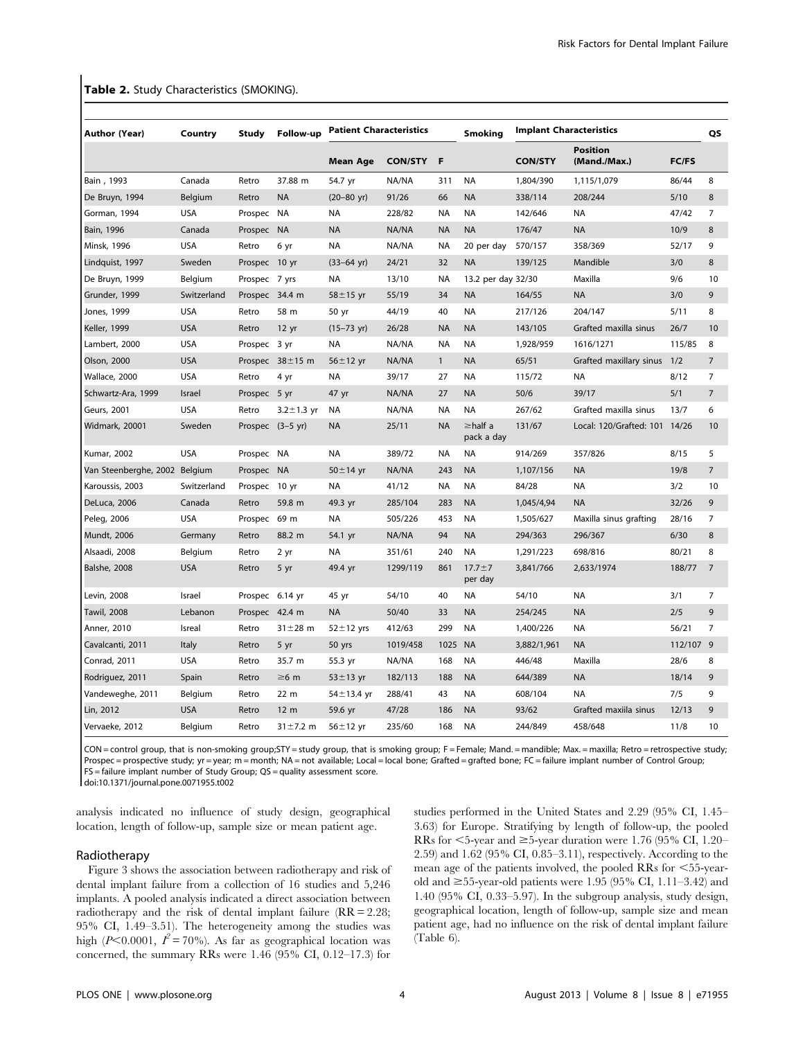#### Table 2. Study Characteristics (SMOKING).

| Author (Year)                 | Country       | <b>Study</b>    | Follow-up             | <b>Patient Characteristics</b> |                |              | Smoking                     | <b>Implant Characteristics</b> |                                 |              | QS             |
|-------------------------------|---------------|-----------------|-----------------------|--------------------------------|----------------|--------------|-----------------------------|--------------------------------|---------------------------------|--------------|----------------|
|                               |               |                 |                       | <b>Mean Age</b>                | <b>CON/STY</b> | F            |                             | <b>CON/STY</b>                 | <b>Position</b><br>(Mand./Max.) | <b>FC/FS</b> |                |
| Bain, 1993                    | Canada        | Retro           | 37.88 m               | 54.7 yr                        | NA/NA          | 311          | <b>NA</b>                   | 1,804/390                      | 1,115/1,079                     | 86/44        | 8              |
| De Bruyn, 1994                | Belgium       | Retro           | <b>NA</b>             | $(20-80 \text{ yr})$           | 91/26          | 66           | <b>NA</b>                   | 338/114                        | 208/244                         | 5/10         | 8              |
| Gorman, 1994                  | <b>USA</b>    | Prospec NA      |                       | NA                             | 228/82         | <b>NA</b>    | <b>NA</b>                   | 142/646                        | NA                              | 47/42        | 7              |
| Bain, 1996                    | Canada        | Prospec NA      |                       | <b>NA</b>                      | NA/NA          | <b>NA</b>    | <b>NA</b>                   | 176/47                         | <b>NA</b>                       | 10/9         | 8              |
| Minsk, 1996                   | <b>USA</b>    | Retro           | 6 yr                  | <b>NA</b>                      | NA/NA          | <b>NA</b>    | 20 per day                  | 570/157                        | 358/369                         | 52/17        | 9              |
| Lindquist, 1997               | Sweden        | Prospec 10 yr   |                       | $(33-64 \text{ yr})$           | 24/21          | 32           | <b>NA</b>                   | 139/125                        | Mandible                        | 3/0          | 8              |
| De Bruyn, 1999                | Belgium       | Prospec 7 yrs   |                       | NA                             | 13/10          | NA           | 13.2 per day 32/30          |                                | Maxilla                         | 9/6          | 10             |
| Grunder, 1999                 | Switzerland   | Prospec 34.4 m  |                       | $58 \pm 15$ yr                 | 55/19          | 34           | <b>NA</b>                   | 164/55                         | <b>NA</b>                       | 3/0          | 9              |
| Jones, 1999                   | <b>USA</b>    | Retro           | 58 m                  | 50 yr                          | 44/19          | 40           | <b>NA</b>                   | 217/126                        | 204/147                         | 5/11         | 8              |
| <b>Keller, 1999</b>           | <b>USA</b>    | Retro           | 12 <sub>yr</sub>      | $(15 - 73 \text{ yr})$         | 26/28          | <b>NA</b>    | <b>NA</b>                   | 143/105                        | Grafted maxilla sinus           | 26/7         | 10             |
| Lambert, 2000                 | USA           | Prospec 3 yr    |                       | NA                             | NA/NA          | NA           | ΝA                          | 1,928/959                      | 1616/1271                       | 115/85       | 8              |
| Olson, 2000                   | <b>USA</b>    |                 | Prospec $38 \pm 15$ m | $56 \pm 12$ yr                 | NA/NA          | $\mathbf{1}$ | <b>NA</b>                   | 65/51                          | Grafted maxillary sinus         | 1/2          | $\overline{7}$ |
| Wallace, 2000                 | <b>USA</b>    | Retro           | 4 yr                  | <b>NA</b>                      | 39/17          | 27           | NA                          | 115/72                         | <b>NA</b>                       | 8/12         | $\overline{7}$ |
| Schwartz-Ara, 1999            | <b>Israel</b> | Prospec 5 yr    |                       | 47 yr                          | NA/NA          | 27           | <b>NA</b>                   | 50/6                           | 39/17                           | 5/1          | $\overline{7}$ |
| Geurs, 2001                   | <b>USA</b>    | Retro           | $3.2 \pm 1.3$ yr      | ΝA                             | NA/NA          | ΝA           | <b>NA</b>                   | 267/62                         | Grafted maxilla sinus           | 13/7         | 6              |
| Widmark, 20001                | Sweden        |                 | Prospec (3-5 yr)      | <b>NA</b>                      | 25/11          | <b>NA</b>    | $\geq$ half a<br>pack a day | 131/67                         | Local: 120/Grafted: 101         | 14/26        | 10             |
| <b>Kumar, 2002</b>            | <b>USA</b>    | Prospec NA      |                       | <b>NA</b>                      | 389/72         | NA           | NA                          | 914/269                        | 357/826                         | 8/15         | 5              |
| Van Steenberghe, 2002 Belgium |               | Prospec NA      |                       | $50 \pm 14$ yr                 | NA/NA          | 243          | <b>NA</b>                   | 1,107/156                      | <b>NA</b>                       | 19/8         | $\overline{7}$ |
| Karoussis, 2003               | Switzerland   | Prospec 10 yr   |                       | <b>NA</b>                      | 41/12          | NA           | <b>NA</b>                   | 84/28                          | <b>NA</b>                       | 3/2          | 10             |
| DeLuca, 2006                  | Canada        | Retro           | 59.8 m                | 49.3 yr                        | 285/104        | 283          | <b>NA</b>                   | 1,045/4,94                     | <b>NA</b>                       | 32/26        | 9              |
| Peleg, 2006                   | <b>USA</b>    | Prospec 69 m    |                       | <b>NA</b>                      | 505/226        | 453          | <b>NA</b>                   | 1,505/627                      | Maxilla sinus grafting          | 28/16        | 7              |
| <b>Mundt, 2006</b>            | Germany       | Retro           | 88.2 m                | 54.1 yr                        | NA/NA          | 94           | <b>NA</b>                   | 294/363                        | 296/367                         | 6/30         | 8              |
| Alsaadi, 2008                 | Belgium       | Retro           | 2 yr                  | <b>NA</b>                      | 351/61         | 240          | <b>NA</b>                   | 1,291/223                      | 698/816                         | 80/21        | 8              |
| <b>Balshe, 2008</b>           | <b>USA</b>    | Retro           | 5 yr                  | 49.4 yr                        | 1299/119       | 861          | $17.7 \pm 7$<br>per day     | 3,841/766                      | 2,633/1974                      | 188/77       | $\overline{7}$ |
| Levin, 2008                   | Israel        | Prospec 6.14 yr |                       | 45 yr                          | 54/10          | 40           | NA                          | 54/10                          | NA                              | 3/1          | 7              |
| <b>Tawil, 2008</b>            | Lebanon       | Prospec 42.4 m  |                       | <b>NA</b>                      | 50/40          | 33           | <b>NA</b>                   | 254/245                        | <b>NA</b>                       | 2/5          | 9              |
| Anner, 2010                   | Isreal        | Retro           | $31 \pm 28$ m         | $52 \pm 12$ yrs                | 412/63         | 299          | NA                          | 1,400/226                      | NA                              | 56/21        | 7              |
| Cavalcanti, 2011              | <b>Italy</b>  | Retro           | 5 yr                  | 50 yrs                         | 1019/458       | 1025         | <b>NA</b>                   | 3,882/1,961                    | <b>NA</b>                       | 112/107 9    |                |
| Conrad, 2011                  | <b>USA</b>    | Retro           | 35.7 m                | 55.3 yr                        | NA/NA          | 168          | <b>NA</b>                   | 446/48                         | Maxilla                         | 28/6         | 8              |
| Rodriguez, 2011               | Spain         | Retro           | $\geq 6$ m            | $53 \pm 13$ yr                 | 182/113        | 188          | <b>NA</b>                   | 644/389                        | <b>NA</b>                       | 18/14        | 9              |
| Vandeweghe, 2011              | Belgium       | Retro           | 22 m                  | $54 \pm 13.4$ yr               | 288/41         | 43           | ΝA                          | 608/104                        | <b>NA</b>                       | 7/5          | 9              |
| Lin, 2012                     | <b>USA</b>    | Retro           | $12 \text{ m}$        | 59.6 yr                        | 47/28          | 186          | <b>NA</b>                   | 93/62                          | Grafted maxiila sinus           | 12/13        | 9              |
| Vervaeke, 2012                | Belgium       | Retro           | $31 \pm 7.2$ m        | $56 \pm 12$ yr                 | 235/60         | 168          | <b>NA</b>                   | 244/849                        | 458/648                         | 11/8         | 10             |

CON = control group, that is non-smoking group;STY = study group, that is smoking group; F = Female; Mand. = mandible; Max. = maxilla; Retro = retrospective study; Prospec = prospective study; yr = year; m = month; NA = not available; Local = local bone; Grafted = grafted bone; FC = failure implant number of Control Group; FS = failure implant number of Study Group; QS = quality assessment score.

doi:10.1371/journal.pone.0071955.t002

analysis indicated no influence of study design, geographical location, length of follow-up, sample size or mean patient age.

#### Radiotherapy

Figure 3 shows the association between radiotherapy and risk of dental implant failure from a collection of 16 studies and 5,246 implants. A pooled analysis indicated a direct association between radiotherapy and the risk of dental implant failure  $(RR = 2.28;$ 95% CI, 1.49–3.51). The heterogeneity among the studies was high (P<0.0001,  $I^2 = 70\%$ ). As far as geographical location was concerned, the summary RRs were 1.46 (95% CI, 0.12–17.3) for studies performed in the United States and 2.29 (95% CI, 1.45– 3.63) for Europe. Stratifying by length of follow-up, the pooled RRs for  $\leq$ 5-year and  $\geq$ 5-year duration were 1.76 (95% CI, 1.20– 2.59) and 1.62 (95% CI, 0.85–3.11), respectively. According to the mean age of the patients involved, the pooled RRs for  $\leq$ 55-yearold and  $\geq$ 55-year-old patients were 1.95 (95% CI, 1.11–3.42) and 1.40 (95% CI, 0.33–5.97). In the subgroup analysis, study design, geographical location, length of follow-up, sample size and mean patient age, had no influence on the risk of dental implant failure (Table 6).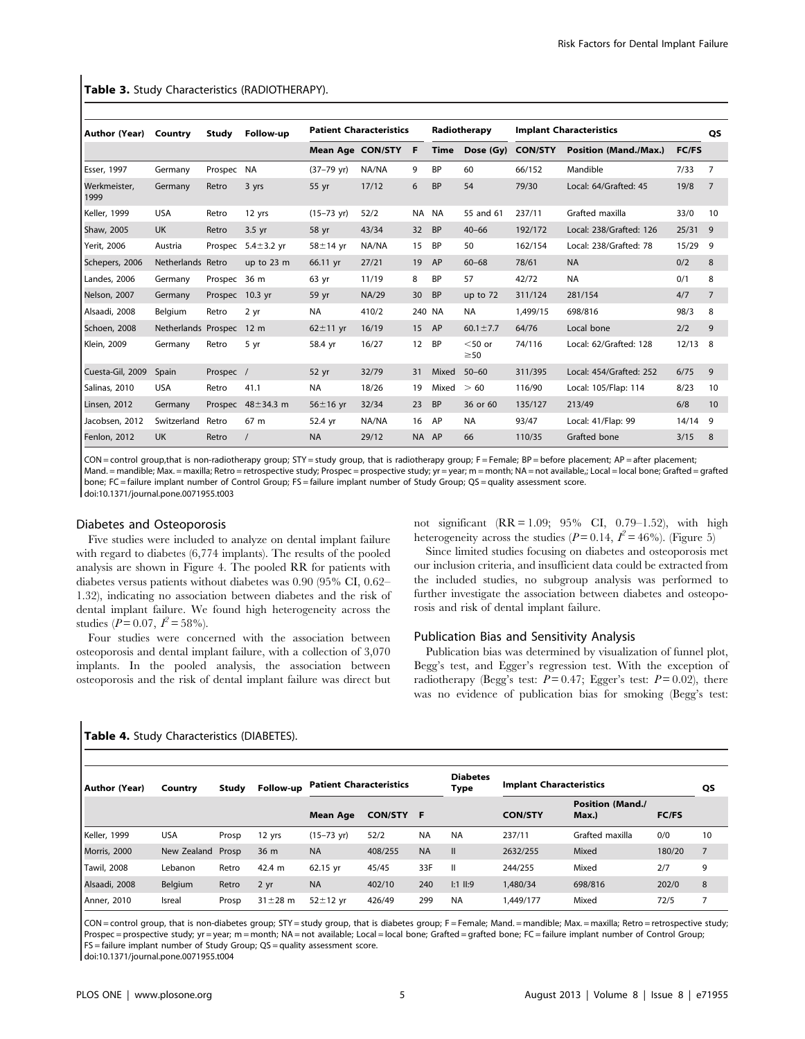Table 3. Study Characteristics (RADIOTHERAPY).

| Author (Year)        | Country                  | <b>Study</b>    | Follow-up        | <b>Patient Characteristics</b> |                  | Radiotherapy      |           | <b>Implant Characteristics</b> |                |                              | QS           |                |
|----------------------|--------------------------|-----------------|------------------|--------------------------------|------------------|-------------------|-----------|--------------------------------|----------------|------------------------------|--------------|----------------|
|                      |                          |                 |                  |                                | Mean Age CON/STY | -F                | Time      | Dose (Gy)                      | <b>CON/STY</b> | <b>Position (Mand./Max.)</b> | <b>FC/FS</b> |                |
| <b>Esser, 1997</b>   | Germany                  | Prospec         | <b>NA</b>        | $(37 - 79 \text{ yr})$         | NA/NA            | 9                 | <b>BP</b> | 60                             | 66/152         | Mandible                     | 7/33         | 7              |
| Werkmeister.<br>1999 | Germany                  | Retro           | 3 yrs            | 55 yr                          | 17/12            | 6                 | <b>BP</b> | 54                             | 79/30          | Local: 64/Grafted: 45        | 19/8         | 7              |
| Keller, 1999         | <b>USA</b>               | Retro           | 12 yrs           | $(15 - 73 \text{ yr})$         | 52/2             | <b>NA</b>         | <b>NA</b> | 55 and 61                      | 237/11         | Grafted maxilla              | 33/0         | 10             |
| Shaw, 2005           | <b>UK</b>                | Retro           | $3.5$ yr         | 58 yr                          | 43/34            | 32                | <b>BP</b> | $40 - 66$                      | 192/172        | Local: 238/Grafted: 126      | 25/31        | - 9            |
| Yerit, 2006          | Austria                  | Prospec         | 5.4 $\pm$ 3.2 yr | $58 \pm 14$ yr                 | NA/NA            | 15                | <b>BP</b> | 50                             | 162/154        | Local: 238/Grafted: 78       | 15/29        | 9              |
| Schepers, 2006       | Netherlands Retro        |                 | up to 23 m       | 66.11 yr                       | 27/21            | 19                | AP        | $60 - 68$                      | 78/61          | <b>NA</b>                    | 0/2          | 8              |
| Landes, 2006         | Germany                  | Prospec         | 36 m             | 63 yr                          | 11/19            | 8                 | <b>BP</b> | 57                             | 42/72          | <b>NA</b>                    | 0/1          | 8              |
| Nelson, 2007         | Germany                  | Prospec 10.3 yr |                  | 59 yr                          | <b>NA/29</b>     | 30                | <b>BP</b> | up to 72                       | 311/124        | 281/154                      | 4/7          | $\overline{7}$ |
| Alsaadi, 2008        | Belgium                  | Retro           | 2 yr             | <b>NA</b>                      | 410/2            | 240 NA            |           | <b>NA</b>                      | 1.499/15       | 698/816                      | 98/3         | 8              |
| Schoen, 2008         | Netherlands Prospec 12 m |                 |                  | $62 \pm 11$ yr                 | 16/19            | 15                | AP        | $60.1 \pm 7.7$                 | 64/76          | Local bone                   | 2/2          | 9              |
| Klein, 2009          | Germany                  | Retro           | 5 yr             | 58.4 yr                        | 16/27            | $12 \overline{ }$ | <b>BP</b> | $<$ 50 or<br>$\geq 50$         | 74/116         | Local: 62/Grafted: 128       | 12/13        | 8              |
| Cuesta-Gil, 2009     | Spain                    | Prospec /       |                  | 52 yr                          | 32/79            | 31                | Mixed     | $50 - 60$                      | 311/395        | Local: 454/Grafted: 252      | 6/75         | 9              |
| Salinas, 2010        | <b>USA</b>               | Retro           | 41.1             | <b>NA</b>                      | 18/26            | 19                | Mixed     | >60                            | 116/90         | Local: 105/Flap: 114         | 8/23         | 10             |
| Linsen, 2012         | Germany                  | Prospec         | $48 + 34.3$ m    | $56 \pm 16$ yr                 | 32/34            | 23                | <b>BP</b> | 36 or 60                       | 135/127        | 213/49                       | 6/8          | 10             |
| Jacobsen, 2012       | Switzerland              | Retro           | 67 m             | 52.4 yr                        | NA/NA            | 16                | AP        | <b>NA</b>                      | 93/47          | Local: 41/Flap: 99           | 14/14        | 9              |
| Fenlon, 2012         | <b>UK</b>                | Retro           |                  | <b>NA</b>                      | 29/12            | NA AP             |           | 66                             | 110/35         | Grafted bone                 | 3/15         | 8              |

CON = control group, that is non-radiotherapy group; STY = study group, that is radiotherapy group; F = Female; BP = before placement; AP = after placement;

Mand. = mandible; Max. = maxilla; Retro = retrospective study; Prospec = prospective study; yr = year; m = month; NA = not available,; Local = local bone; Grafted = grafted bone; FC = failure implant number of Control Group; FS = failure implant number of Study Group; QS = quality assessment score.

doi:10.1371/journal.pone.0071955.t003

#### Diabetes and Osteoporosis

Five studies were included to analyze on dental implant failure with regard to diabetes (6,774 implants). The results of the pooled analysis are shown in Figure 4. The pooled RR for patients with diabetes versus patients without diabetes was 0.90 (95% CI, 0.62– 1.32), indicating no association between diabetes and the risk of dental implant failure. We found high heterogeneity across the studies  $(P=0.07, I^2=58\%)$ .

Four studies were concerned with the association between osteoporosis and dental implant failure, with a collection of 3,070 implants. In the pooled analysis, the association between osteoporosis and the risk of dental implant failure was direct but not significant  $(RR = 1.09; 95\% \text{ CI}, 0.79-1.52)$ , with high heterogeneity across the studies ( $P = 0.14$ ,  $I^2 = 46\%$ ). (Figure 5)

Since limited studies focusing on diabetes and osteoporosis met our inclusion criteria, and insufficient data could be extracted from the included studies, no subgroup analysis was performed to further investigate the association between diabetes and osteoporosis and risk of dental implant failure.

## Publication Bias and Sensitivity Analysis

Publication bias was determined by visualization of funnel plot, Begg's test, and Egger's regression test. With the exception of radiotherapy (Begg's test:  $P = 0.47$ ; Egger's test:  $P = 0.02$ ), there was no evidence of publication bias for smoking (Begg's test:

| Author (Year)       |             | Country |                 |                        |           |           |             |                |                                  |              |    |  | Study | Follow-up | <b>Patient Characteristics</b> |  |  | <b>Diabetes</b><br>Type | <b>Implant Characteristics</b> |  |  | QS |
|---------------------|-------------|---------|-----------------|------------------------|-----------|-----------|-------------|----------------|----------------------------------|--------------|----|--|-------|-----------|--------------------------------|--|--|-------------------------|--------------------------------|--|--|----|
|                     |             |         |                 | <b>Mean Age</b>        | CON/STY F |           |             | <b>CON/STY</b> | <b>Position (Mand./</b><br>Max.) | <b>FC/FS</b> |    |  |       |           |                                |  |  |                         |                                |  |  |    |
| Keller, 1999        | <b>USA</b>  | Prosp   | 12 yrs          | $(15 - 73 \text{ yr})$ | 52/2      | <b>NA</b> | <b>NA</b>   | 237/11         | Grafted maxilla                  | 0/0          | 10 |  |       |           |                                |  |  |                         |                                |  |  |    |
| <b>Morris, 2000</b> | New Zealand | Prosp   | 36 m            | <b>NA</b>              | 408/255   | <b>NA</b> | II          | 2632/255       | Mixed                            | 180/20       |    |  |       |           |                                |  |  |                         |                                |  |  |    |
| <b>Tawil, 2008</b>  | Lebanon     | Retro   | 42.4 m          | 62.15 yr               | 45/45     | 33F       | Ш           | 244/255        | Mixed                            | 2/7          | 9  |  |       |           |                                |  |  |                         |                                |  |  |    |
| Alsaadi, 2008       | Belgium     | Retro   | 2 <sub>yr</sub> | <b>NA</b>              | 402/10    | 240       | $1:1$ $1:9$ | 1,480/34       | 698/816                          | 202/0        | 8  |  |       |           |                                |  |  |                         |                                |  |  |    |
| Anner, 2010         | Isreal      | Prosp   | $31 \pm 28$ m   | $52 \pm 12$ yr         | 426/49    | 299       | <b>NA</b>   | 1.449/177      | Mixed                            | 72/5         |    |  |       |           |                                |  |  |                         |                                |  |  |    |

CON = control group, that is non-diabetes group; STY = study group, that is diabetes group; F = Female; Mand. = mandible; Max. = maxilla; Retro = retrospective study; Prospec = prospective study; yr = year; m = month; NA = not available; Local = local bone; Grafted = grafted bone; FC = failure implant number of Control Group; FS = failure implant number of Study Group; QS = quality assessment score.

doi:10.1371/journal.pone.0071955.t004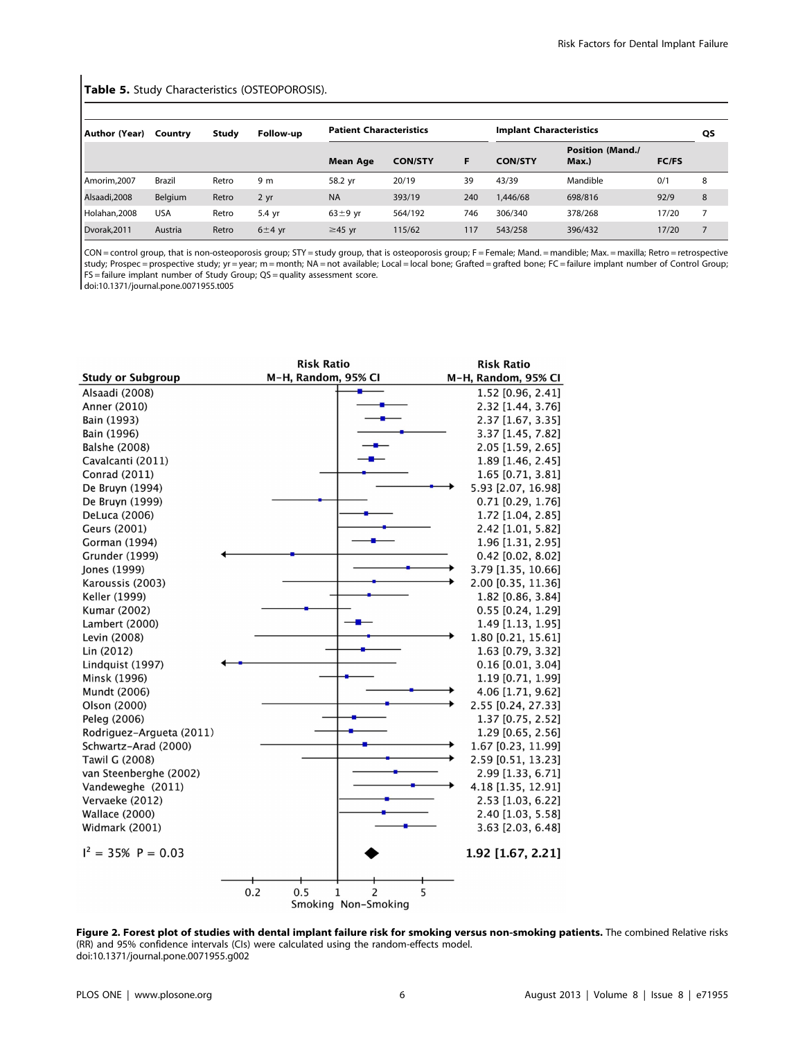## Table 5. Study Characteristics (OSTEOPOROSIS).

| Author (Year) | Country    | <b>Study</b> | Follow-up      | <b>Patient Characteristics</b> |                |     | <b>Implant Characteristics</b> |                                  |              | QS |  |
|---------------|------------|--------------|----------------|--------------------------------|----------------|-----|--------------------------------|----------------------------------|--------------|----|--|
|               |            |              |                | <b>Mean Age</b>                | <b>CON/STY</b> | F   | <b>CON/STY</b>                 | <b>Position (Mand./</b><br>Max.) | <b>FC/FS</b> |    |  |
| Amorim, 2007  | Brazil     | Retro        | 9 <sub>m</sub> | 58.2 yr                        | 20/19          | 39  | 43/39                          | Mandible                         | 0/1          | 8  |  |
| Alsaadi, 2008 | Belgium    | Retro        | 2 yr           | <b>NA</b>                      | 393/19         | 240 | A46/68                         | 698/816                          | 92/9         | 8  |  |
| Holahan, 2008 | <b>USA</b> | Retro        | 5.4 yr         | $63\pm9$ yr                    | 564/192        | 746 | 306/340                        | 378/268                          | 17/20        |    |  |
| Dvorak, 2011  | Austria    | Retro        | $6±4$ yr       | $\geq$ 45 yr                   | 115/62         | 117 | 543/258                        | 396/432                          | 17/20        |    |  |

CON = control group, that is non-osteoporosis group; STY = study group, that is osteoporosis group; F = Female; Mand. = mandible; Max. = maxilla; Retro = retrospective study; Prospec = prospective study; yr = year; m = month; NA = not available; Local = local bone; Grafted = grafted bone; FC = failure implant number of Control Group; FS = failure implant number of Study Group; QS = quality assessment score.

doi:10.1371/journal.pone.0071955.t005

|                               | <b>Risk Ratio</b>                                 | <b>Risk Ratio</b>   |
|-------------------------------|---------------------------------------------------|---------------------|
| <b>Study or Subgroup</b>      | M-H, Random, 95% CI                               | M-H, Random, 95% CI |
| Alsaadi (2008)                |                                                   | 1.52 [0.96, 2.41]   |
| Anner (2010)                  |                                                   | 2.32 [1.44, 3.76]   |
| Bain (1993)                   |                                                   | 2.37 [1.67, 3.35]   |
| Bain (1996)                   |                                                   | 3.37 [1.45, 7.82]   |
| Balshe (2008)                 |                                                   | 2.05 [1.59, 2.65]   |
| Cavalcanti (2011)             |                                                   | 1.89 [1.46, 2.45]   |
| <b>Conrad (2011)</b>          |                                                   | 1.65 [0.71, 3.81]   |
| De Bruyn (1994)               |                                                   | 5.93 [2.07, 16.98]  |
| De Bruyn (1999)               |                                                   | $0.71$ [0.29, 1.76] |
| DeLuca (2006)                 |                                                   | 1.72 [1.04, 2.85]   |
| Geurs (2001)                  |                                                   | 2.42 [1.01, 5.82]   |
| <b>Gorman (1994)</b>          |                                                   | 1.96 [1.31, 2.95]   |
| Grunder (1999)                |                                                   | $0.42$ [0.02, 8.02] |
| Jones (1999)                  |                                                   | 3.79 [1.35, 10.66]  |
| Karoussis (2003)              |                                                   | 2.00 [0.35, 11.36]  |
| Keller (1999)                 |                                                   | 1.82 [0.86, 3.84]   |
| Kumar (2002)                  |                                                   | $0.55$ [0.24, 1.29] |
| Lambert (2000)                |                                                   | 1.49 [1.13, 1.95]   |
| Levin (2008)                  |                                                   | 1.80 [0.21, 15.61]  |
| Lin (2012)                    |                                                   | 1.63 [0.79, 3.32]   |
| Lindquist (1997)              |                                                   | $0.16$ [0.01, 3.04] |
| Minsk (1996)                  |                                                   | 1.19 [0.71, 1.99]   |
| Mundt (2006)                  |                                                   | 4.06 [1.71, 9.62]   |
| Olson (2000)                  |                                                   | 2.55 [0.24, 27.33]  |
| Peleg (2006)                  |                                                   | 1.37 [0.75, 2.52]   |
| Rodriguez-Argueta (2011)      |                                                   | 1.29 [0.65, 2.56]   |
| Schwartz-Arad (2000)          |                                                   | 1.67 [0.23, 11.99]  |
| Tawil G (2008)                |                                                   | 2.59 [0.51, 13.23]  |
| van Steenberghe (2002)        |                                                   | 2.99 [1.33, 6.71]   |
| Vandeweghe (2011)             |                                                   | 4.18 [1.35, 12.91]  |
| Vervaeke (2012)               |                                                   | 2.53 [1.03, 6.22]   |
| <b>Wallace (2000)</b>         |                                                   | 2.40 [1.03, 5.58]   |
| <b>Widmark (2001)</b>         |                                                   | 3.63 [2.03, 6.48]   |
| $I^2 = 35\% \text{ P} = 0.03$ |                                                   | 1.92 [1.67, 2.21]   |
|                               |                                                   |                     |
|                               | 0.2<br>0.5<br>$\overline{a}$<br>5<br>$\mathbf{1}$ |                     |
|                               | Smoking Non-Smoking                               |                     |

Figure 2. Forest plot of studies with dental implant failure risk for smoking versus non-smoking patients. The combined Relative risks (RR) and 95% confidence intervals (CIs) were calculated using the random-effects model. doi:10.1371/journal.pone.0071955.g002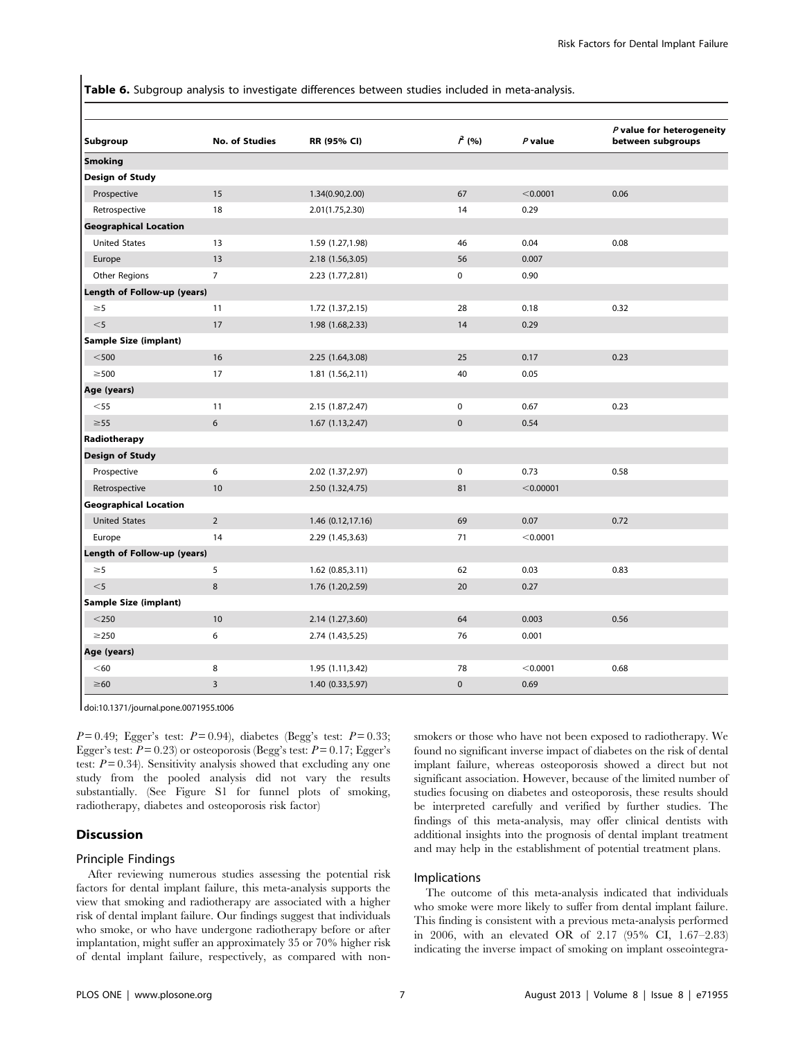Table 6. Subgroup analysis to investigate differences between studies included in meta-analysis.

|                              |                       |                   |               |           | $P$ value for heterogeneity |
|------------------------------|-----------------------|-------------------|---------------|-----------|-----------------------------|
| Subgroup                     | <b>No. of Studies</b> | RR (95% CI)       | $\hat{f}$ (%) | $P$ value | between subgroups           |
| Smoking                      |                       |                   |               |           |                             |
| <b>Design of Study</b>       |                       |                   |               |           |                             |
| Prospective                  | 15                    | 1.34(0.90,2.00)   | 67            | < 0.0001  | 0.06                        |
| Retrospective                | 18                    | 2.01(1.75,2.30)   | 14            | 0.29      |                             |
| <b>Geographical Location</b> |                       |                   |               |           |                             |
| <b>United States</b>         | 13                    | 1.59 (1.27,1.98)  | 46            | 0.04      | 0.08                        |
| Europe                       | 13                    | 2.18 (1.56,3.05)  | 56            | 0.007     |                             |
| <b>Other Regions</b>         | $\overline{7}$        | 2.23 (1.77,2.81)  | $\mathbf 0$   | 0.90      |                             |
| Length of Follow-up (years)  |                       |                   |               |           |                             |
| $\geq 5$                     | 11                    | 1.72 (1.37, 2.15) | 28            | 0.18      | 0.32                        |
| $<$ 5                        | 17                    | 1.98 (1.68,2.33)  | 14            | 0.29      |                             |
| Sample Size (implant)        |                       |                   |               |           |                             |
| $<$ 500                      | 16                    | 2.25 (1.64,3.08)  | 25            | 0.17      | 0.23                        |
| $\geq$ 500                   | 17                    | 1.81 (1.56,2.11)  | 40            | 0.05      |                             |
| Age (years)                  |                       |                   |               |           |                             |
| $<$ 55                       | 11                    | 2.15 (1.87, 2.47) | $\mathbf 0$   | 0.67      | 0.23                        |
| $\geq 55$                    | 6                     | 1.67(1.13, 2.47)  | $\mathbf{0}$  | 0.54      |                             |
| Radiotherapy                 |                       |                   |               |           |                             |
| <b>Design of Study</b>       |                       |                   |               |           |                             |
| Prospective                  | 6                     | 2.02 (1.37, 2.97) | $\pmb{0}$     | 0.73      | 0.58                        |
| Retrospective                | 10                    | 2.50 (1.32,4.75)  | 81            | < 0.00001 |                             |
| <b>Geographical Location</b> |                       |                   |               |           |                             |
| <b>United States</b>         | $\overline{2}$        | 1.46(0.12,17.16)  | 69            | 0.07      | 0.72                        |
| Europe                       | 14                    | 2.29 (1.45,3.63)  | 71            | < 0.0001  |                             |
| Length of Follow-up (years)  |                       |                   |               |           |                             |
| $\geq 5$                     | 5                     | 1.62(0.85, 3.11)  | 62            | 0.03      | 0.83                        |
| $<$ 5                        | 8                     | 1.76 (1.20, 2.59) | 20            | 0.27      |                             |
| Sample Size (implant)        |                       |                   |               |           |                             |
| $<$ 250                      | $10\,$                | 2.14 (1.27,3.60)  | 64            | 0.003     | 0.56                        |
| $\geq$ 250                   | 6                     | 2.74 (1.43,5.25)  | 76            | 0.001     |                             |
| Age (years)                  |                       |                   |               |           |                             |
| $60$                         | 8                     | 1.95 (1.11,3.42)  | 78            | < 0.0001  | 0.68                        |
| $\geq 60$                    | 3                     | 1.40 (0.33,5.97)  | $\pmb{0}$     | 0.69      |                             |
|                              |                       |                   |               |           |                             |

doi:10.1371/journal.pone.0071955.t006

 $P=0.49$ ; Egger's test:  $P=0.94$ ), diabetes (Begg's test:  $P=0.33$ ; Egger's test:  $P = 0.23$ ) or osteoporosis (Begg's test:  $P = 0.17$ ; Egger's test:  $P = 0.34$ ). Sensitivity analysis showed that excluding any one study from the pooled analysis did not vary the results substantially. (See Figure S1 for funnel plots of smoking, radiotherapy, diabetes and osteoporosis risk factor)

## Discussion

## Principle Findings

After reviewing numerous studies assessing the potential risk factors for dental implant failure, this meta-analysis supports the view that smoking and radiotherapy are associated with a higher risk of dental implant failure. Our findings suggest that individuals who smoke, or who have undergone radiotherapy before or after implantation, might suffer an approximately 35 or 70% higher risk of dental implant failure, respectively, as compared with nonsmokers or those who have not been exposed to radiotherapy. We found no significant inverse impact of diabetes on the risk of dental implant failure, whereas osteoporosis showed a direct but not significant association. However, because of the limited number of studies focusing on diabetes and osteoporosis, these results should be interpreted carefully and verified by further studies. The findings of this meta-analysis, may offer clinical dentists with additional insights into the prognosis of dental implant treatment and may help in the establishment of potential treatment plans.

#### Implications

The outcome of this meta-analysis indicated that individuals who smoke were more likely to suffer from dental implant failure. This finding is consistent with a previous meta-analysis performed in 2006, with an elevated OR of 2.17 (95% CI, 1.67–2.83) indicating the inverse impact of smoking on implant osseointegra-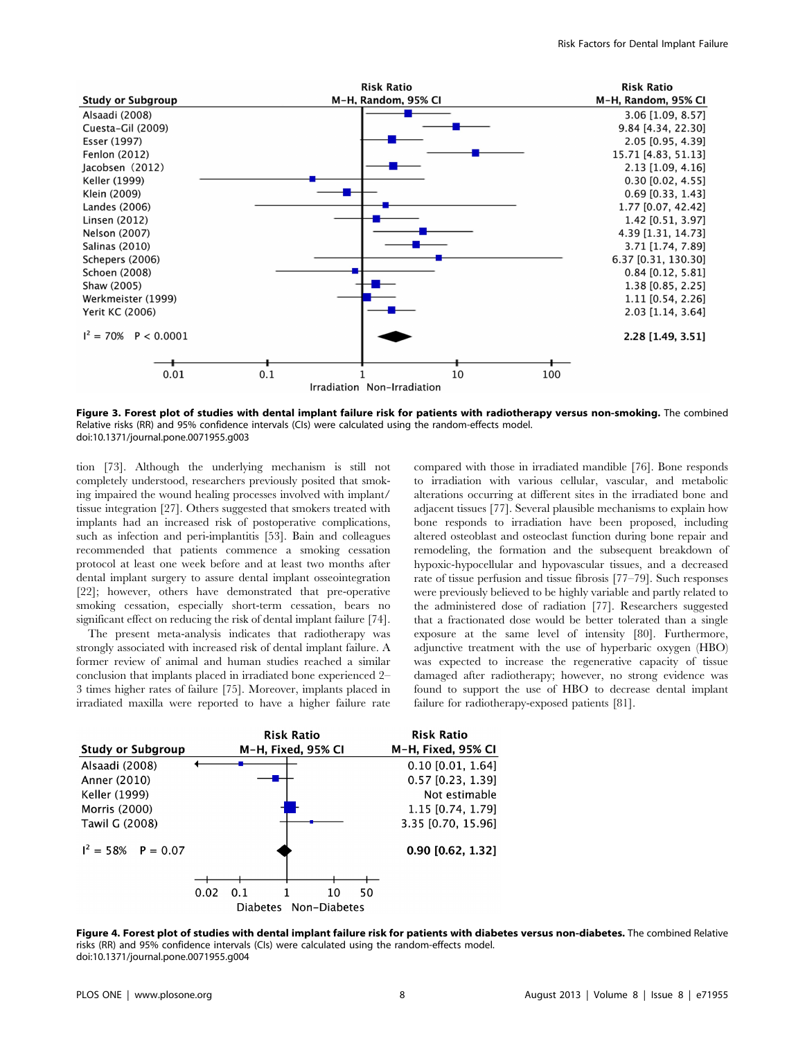

Figure 3. Forest plot of studies with dental implant failure risk for patients with radiotherapy versus non-smoking. The combined Relative risks (RR) and 95% confidence intervals (CIs) were calculated using the random-effects model. doi:10.1371/journal.pone.0071955.g003

tion [73]. Although the underlying mechanism is still not completely understood, researchers previously posited that smoking impaired the wound healing processes involved with implant/ tissue integration [27]. Others suggested that smokers treated with implants had an increased risk of postoperative complications, such as infection and peri-implantitis [53]. Bain and colleagues recommended that patients commence a smoking cessation protocol at least one week before and at least two months after dental implant surgery to assure dental implant osseointegration [22]; however, others have demonstrated that pre-operative smoking cessation, especially short-term cessation, bears no significant effect on reducing the risk of dental implant failure [74].

The present meta-analysis indicates that radiotherapy was strongly associated with increased risk of dental implant failure. A former review of animal and human studies reached a similar conclusion that implants placed in irradiated bone experienced 2– 3 times higher rates of failure [75]. Moreover, implants placed in irradiated maxilla were reported to have a higher failure rate compared with those in irradiated mandible [76]. Bone responds to irradiation with various cellular, vascular, and metabolic alterations occurring at different sites in the irradiated bone and adjacent tissues [77]. Several plausible mechanisms to explain how bone responds to irradiation have been proposed, including altered osteoblast and osteoclast function during bone repair and remodeling, the formation and the subsequent breakdown of hypoxic-hypocellular and hypovascular tissues, and a decreased rate of tissue perfusion and tissue fibrosis [77–79]. Such responses were previously believed to be highly variable and partly related to the administered dose of radiation [77]. Researchers suggested that a fractionated dose would be better tolerated than a single exposure at the same level of intensity [80]. Furthermore, adjunctive treatment with the use of hyperbaric oxygen (HBO) was expected to increase the regenerative capacity of tissue damaged after radiotherapy; however, no strong evidence was found to support the use of HBO to decrease dental implant failure for radiotherapy-exposed patients [81].



Figure 4. Forest plot of studies with dental implant failure risk for patients with diabetes versus non-diabetes. The combined Relative risks (RR) and 95% confidence intervals (CIs) were calculated using the random-effects model. doi:10.1371/journal.pone.0071955.g004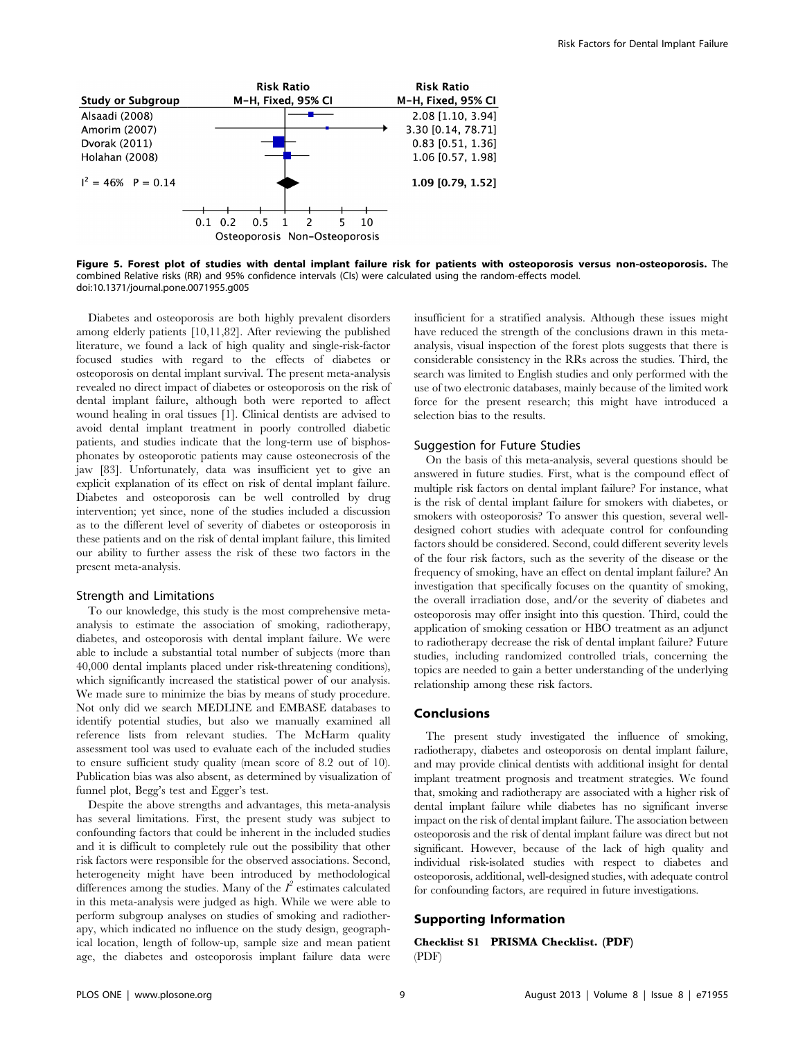

Figure 5. Forest plot of studies with dental implant failure risk for patients with osteoporosis versus non-osteoporosis. The combined Relative risks (RR) and 95% confidence intervals (CIs) were calculated using the random-effects model. doi:10.1371/journal.pone.0071955.g005

Diabetes and osteoporosis are both highly prevalent disorders among elderly patients [10,11,82]. After reviewing the published literature, we found a lack of high quality and single-risk-factor focused studies with regard to the effects of diabetes or osteoporosis on dental implant survival. The present meta-analysis revealed no direct impact of diabetes or osteoporosis on the risk of dental implant failure, although both were reported to affect wound healing in oral tissues [1]. Clinical dentists are advised to avoid dental implant treatment in poorly controlled diabetic patients, and studies indicate that the long-term use of bisphosphonates by osteoporotic patients may cause osteonecrosis of the jaw [83]. Unfortunately, data was insufficient yet to give an explicit explanation of its effect on risk of dental implant failure. Diabetes and osteoporosis can be well controlled by drug intervention; yet since, none of the studies included a discussion as to the different level of severity of diabetes or osteoporosis in these patients and on the risk of dental implant failure, this limited our ability to further assess the risk of these two factors in the present meta-analysis.

## Strength and Limitations

To our knowledge, this study is the most comprehensive metaanalysis to estimate the association of smoking, radiotherapy, diabetes, and osteoporosis with dental implant failure. We were able to include a substantial total number of subjects (more than 40,000 dental implants placed under risk-threatening conditions), which significantly increased the statistical power of our analysis. We made sure to minimize the bias by means of study procedure. Not only did we search MEDLINE and EMBASE databases to identify potential studies, but also we manually examined all reference lists from relevant studies. The McHarm quality assessment tool was used to evaluate each of the included studies to ensure sufficient study quality (mean score of 8.2 out of 10). Publication bias was also absent, as determined by visualization of funnel plot, Begg's test and Egger's test.

Despite the above strengths and advantages, this meta-analysis has several limitations. First, the present study was subject to confounding factors that could be inherent in the included studies and it is difficult to completely rule out the possibility that other risk factors were responsible for the observed associations. Second, heterogeneity might have been introduced by methodological differences among the studies. Many of the  $I^2$  estimates calculated in this meta-analysis were judged as high. While we were able to perform subgroup analyses on studies of smoking and radiotherapy, which indicated no influence on the study design, geographical location, length of follow-up, sample size and mean patient age, the diabetes and osteoporosis implant failure data were insufficient for a stratified analysis. Although these issues might have reduced the strength of the conclusions drawn in this metaanalysis, visual inspection of the forest plots suggests that there is considerable consistency in the RRs across the studies. Third, the search was limited to English studies and only performed with the use of two electronic databases, mainly because of the limited work force for the present research; this might have introduced a selection bias to the results.

#### Suggestion for Future Studies

On the basis of this meta-analysis, several questions should be answered in future studies. First, what is the compound effect of multiple risk factors on dental implant failure? For instance, what is the risk of dental implant failure for smokers with diabetes, or smokers with osteoporosis? To answer this question, several welldesigned cohort studies with adequate control for confounding factors should be considered. Second, could different severity levels of the four risk factors, such as the severity of the disease or the frequency of smoking, have an effect on dental implant failure? An investigation that specifically focuses on the quantity of smoking, the overall irradiation dose, and/or the severity of diabetes and osteoporosis may offer insight into this question. Third, could the application of smoking cessation or HBO treatment as an adjunct to radiotherapy decrease the risk of dental implant failure? Future studies, including randomized controlled trials, concerning the topics are needed to gain a better understanding of the underlying relationship among these risk factors.

#### Conclusions

The present study investigated the influence of smoking, radiotherapy, diabetes and osteoporosis on dental implant failure, and may provide clinical dentists with additional insight for dental implant treatment prognosis and treatment strategies. We found that, smoking and radiotherapy are associated with a higher risk of dental implant failure while diabetes has no significant inverse impact on the risk of dental implant failure. The association between osteoporosis and the risk of dental implant failure was direct but not significant. However, because of the lack of high quality and individual risk-isolated studies with respect to diabetes and osteoporosis, additional, well-designed studies, with adequate control for confounding factors, are required in future investigations.

#### Supporting Information

Checklist S1 PRISMA Checklist. (PDF) (PDF)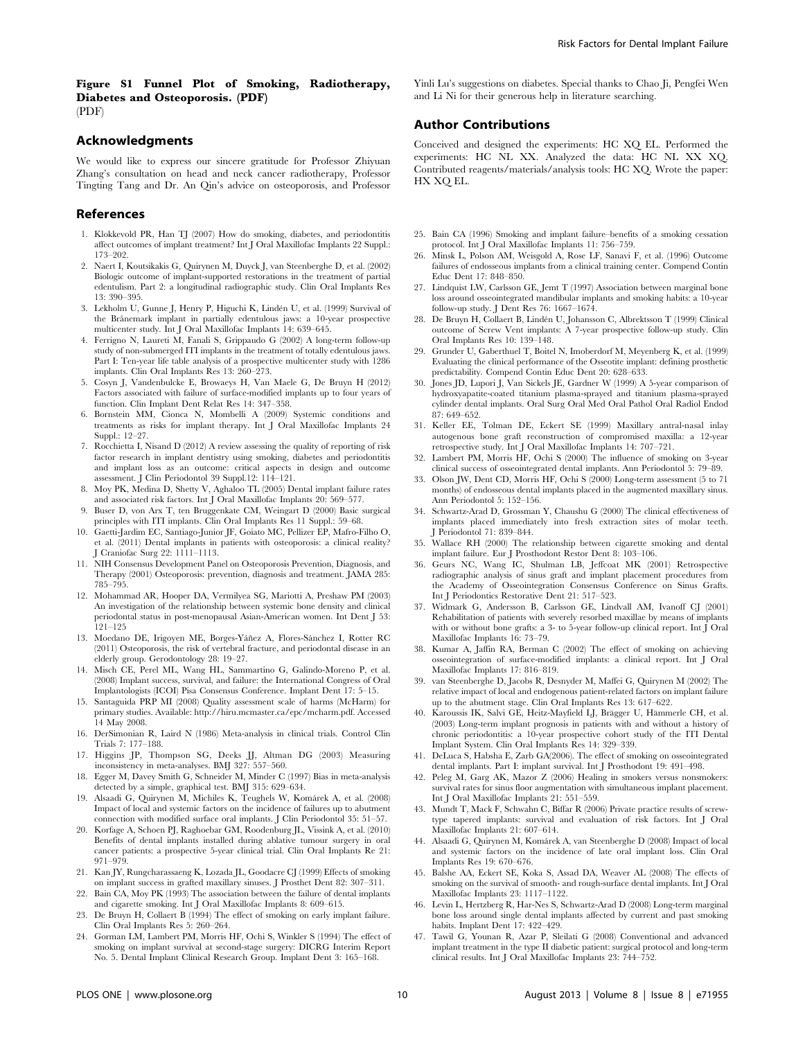#### Acknowledgments

We would like to express our sincere gratitude for Professor Zhiyuan Zhang's consultation on head and neck cancer radiotherapy, Professor Tingting Tang and Dr. An Qin's advice on osteoporosis, and Professor

#### References

- 1. Klokkevold PR, Han TJ (2007) How do smoking, diabetes, and periodontitis affect outcomes of implant treatment? Int J Oral Maxillofac Implants 22 Suppl.: 173–202.
- 2. Naert I, Koutsikakis G, Quirynen M, Duyck J, van Steenberghe D, et al. (2002) Biologic outcome of implant-supported restorations in the treatment of partial edentulism. Part 2: a longitudinal radiographic study. Clin Oral Implants Res 13: 390–395.
- 3. Lekholm U, Gunne J, Henry P, Higuchi K, Lindén U, et al. (1999) Survival of the Brånemark implant in partially edentulous jaws: a 10-year prospective multicenter study. Int J Oral Maxillofac Implants 14: 639–645.
- 4. Ferrigno N, Laureti M, Fanali S, Grippaudo G (2002) A long-term follow-up study of non-submerged ITI implants in the treatment of totally edentulous jaws. Part I: Ten-year life table analysis of a prospective multicenter study with 1286 implants. Clin Oral Implants Res 13: 260–273.
- 5. Cosyn J, Vandenbulcke E, Browaeys H, Van Maele G, De Bruyn H (2012) Factors associated with failure of surface-modified implants up to four years of function. Clin Implant Dent Relat Res 14: 347–358.
- 6. Bornstein MM, Cionca N, Mombelli A (2009) Systemic conditions and treatments as risks for implant therapy. Int J Oral Maxillofac Implants 24 Suppl.: 12–27.
- 7. Rocchietta I, Nisand D (2012) A review assessing the quality of reporting of risk factor research in implant dentistry using smoking, diabetes and periodontitis and implant loss as an outcome: critical aspects in design and outcome assessment. J Clin Periodontol 39 Suppl.12: 114–121.
- 8. Moy PK, Medina D, Shetty V, Aghaloo TL (2005) Dental implant failure rates and associated risk factors. Int J Oral Maxillofac Implants 20: 569-577.
- 9. Buser D, von Arx T, ten Bruggenkate CM, Weingart D (2000) Basic surgical principles with ITI implants. Clin Oral Implants Res 11 Suppl.: 59–68.
- 10. Gaetti-Jardim EC, Santiago-Junior JF, Goiato MC, Pellizer EP, Mafro-Filho O, et al. (2011) Dental implants in patients with osteoporosis: a clinical reality? J Craniofac Surg 22: 1111–1113.
- 11. NIH Consensus Development Panel on Osteoporosis Prevention, Diagnosis, and Therapy (2001) Osteoporosis: prevention, diagnosis and treatment. JAMA 285: 785–795.
- 12. Mohammad AR, Hooper DA, Vermilyea SG, Mariotti A, Preshaw PM (2003) An investigation of the relationship between systemic bone density and clinical periodontal status in post-menopausal Asian-American women. Int Dent J 53: 121–125
- 13. Moedano DE, Irigoyen ME, Borges-Yáñez A, Flores-Sánchez I, Rotter RC (2011) Osteoporosis, the risk of vertebral fracture, and periodontal disease in an elderly group. Gerodontology 28: 19–27.
- 14. Misch CE, Perel ML, Wang HL, Sammartino G, Galindo-Moreno P, et al. (2008) Implant success, survival, and failure: the International Congress of Oral Implantologists (ICOI) Pisa Consensus Conference. Implant Dent 17: 5–15.
- 15. Santaguida PRP MI (2008) Quality assessment scale of harms (McHarm) for primary studies. Available: http://hiru.mcmaster.ca/epc/mcharm.pdf. Accessed 14 May 2008.
- 16. DerSimonian R, Laird N (1986) Meta-analysis in clinical trials. Control Clin Trials 7: 177–188.
- 17. Higgins JP, Thompson SG, Deeks JJ, Altman DG (2003) Measuring inconsistency in meta-analyses. BMJ 327: 557–560.
- 18. Egger M, Davey Smith G, Schneider M, Minder C (1997) Bias in meta-analysis detected by a simple, graphical test. BMJ 315: 629–634.
- 19. Alsaadi G, Quirynen M, Michiles K, Teughels W, Komárek A, et al. (2008) Impact of local and systemic factors on the incidence of failures up to abutment connection with modified surface oral implants. J Clin Periodontol 35: 51–57.
- 20. Korfage A, Schoen PJ, Raghoebar GM, Roodenburg JL, Vissink A, et al. (2010) Benefits of dental implants installed during ablative tumour surgery in oral cancer patients: a prospective 5-year clinical trial. Clin Oral Implants Re 21: 971–979.
- 21. Kan JY, Rungcharassaeng K, Lozada JL, Goodacre CJ (1999) Effects of smoking on implant success in grafted maxillary sinuses. J Prosthet Dent 82: 307–311.
- 22. Bain CA, Moy PK (1993) The association between the failure of dental implants and cigarette smoking. Int J Oral Maxillofac Implants 8: 609–615.
- 23. De Bruyn H, Collaert B (1994) The effect of smoking on early implant failure. Clin Oral Implants Res 5: 260–264.
- 24. Gorman LM, Lambert PM, Morris HF, Ochi S, Winkler S (1994) The effect of smoking on implant survival at second-stage surgery: DICRG Interim Report No. 5. Dental Implant Clinical Research Group. Implant Dent 3: 165–168.

Yinli Lu's suggestions on diabetes. Special thanks to Chao Ji, Pengfei Wen and Li Ni for their generous help in literature searching.

## Author Contributions

Conceived and designed the experiments: HC XQ EL. Performed the experiments: HC NL XX. Analyzed the data: HC NL XX XQ. Contributed reagents/materials/analysis tools: HC XQ. Wrote the paper: HX XQ EL.

- 25. Bain CA (1996) Smoking and implant failure–benefits of a smoking cessation protocol. Int J Oral Maxillofac Implants 11: 756–759.
- 26. Minsk L, Polson AM, Weisgold A, Rose LF, Sanavi F, et al. (1996) Outcome failures of endosseous implants from a clinical training center. Compend Contin Educ Dent 17: 848–850.
- 27. Lindquist LW, Carlsson GE, Jemt T (1997) Association between marginal bone loss around osseointegrated mandibular implants and smoking habits: a 10-year follow-up study. J Dent Res 76: 1667–1674.
- 28. De Bruyn H, Collaert B, Lindén U, Johansson C, Albrektsson T (1999) Clinical outcome of Screw Vent implants: A 7-year prospective follow-up study. Clin Oral Implants Res 10: 139–148.
- 29. Grunder U, Gaberthuel T, Boitel N, Imoberdorf M, Meyenberg K, et al. (1999) Evaluating the clinical performance of the Osseotite implant: defining prosthetic predictability. Compend Contin Educ Dent 20: 628–633.
- 30. Jones JD, Lupori J, Van Sickels JE, Gardner W (1999) A 5-year comparison of hydroxyapatite-coated titanium plasma-sprayed and titanium plasma-sprayed cylinder dental implants. Oral Surg Oral Med Oral Pathol Oral Radiol Endod 87: 649–652.
- 31. Keller EE, Tolman DE, Eckert SE (1999) Maxillary antral-nasal inlay autogenous bone graft reconstruction of compromised maxilla: a 12-year retrospective study. Int J Oral Maxillofac Implants 14: 707–721.
- 32. Lambert PM, Morris HF, Ochi S (2000) The influence of smoking on 3-year clinical success of osseointegrated dental implants. Ann Periodontol 5: 79–89.
- 33. Olson JW, Dent CD, Morris HF, Ochi S (2000) Long-term assessment (5 to 71 months) of endosseous dental implants placed in the augmented maxillary sinus. Ann Periodontol 5: 152–156.
- 34. Schwartz-Arad D, Grossman Y, Chaushu G (2000) The clinical effectiveness of implants placed immediately into fresh extraction sites of molar teeth. J Periodontol 71: 839–844.
- 35. Wallace RH (2000) The relationship between cigarette smoking and dental implant failure. Eur J Prosthodont Restor Dent 8: 103–106.
- 36. Geurs NC, Wang IC, Shulman LB, Jeffcoat MK (2001) Retrospective radiographic analysis of sinus graft and implant placement procedures from the Academy of Osseointegration Consensus Conference on Sinus Grafts. Int J Periodontics Restorative Dent 21: 517–523.
- 37. Widmark G, Andersson B, Carlsson GE, Lindvall AM, Ivanoff CJ (2001) Rehabilitation of patients with severely resorbed maxillae by means of implants with or without bone grafts: a 3- to 5-year follow-up clinical report. Int J Oral Maxillofac Implants 16: 73–79.
- 38. Kumar A, Jaffin RA, Berman C (2002) The effect of smoking on achieving osseointegration of surface-modified implants: a clinical report. Int J Oral Maxillofac Implants 17: 816–819.
- 39. van Steenberghe D, Jacobs R, Desnyder M, Maffei G, Quirynen M (2002) The relative impact of local and endogenous patient-related factors on implant failure up to the abutment stage. Clin Oral Implants Res 13: 617–622.
- 40. Karoussis IK, Salvi GE, Heitz-Mayfield LJ, Brägger U, Hämmerle CH, et al. (2003) Long-term implant prognosis in patients with and without a history of chronic periodontitis: a 10-year prospective cohort study of the ITI Dental Implant System. Clin Oral Implants Res 14: 329–339.
- 41. DeLuca S, Habsha E, Zarb GA(2006). The effect of smoking on osseointegrated dental implants. Part I: implant survival. Int J Prosthodont 19: 491–498.
- 42. Peleg M, Garg AK, Mazor Z (2006) Healing in smokers versus nonsmokers: survival rates for sinus floor augmentation with simultaneous implant placement. Int J Oral Maxillofac Implants 21: 551–559.
- 43. Mundt T, Mack F, Schwahn C, Biffar R (2006) Private practice results of screwtype tapered implants: survival and evaluation of risk factors. Int J Oral Maxillofac Implants 21: 607–614.
- 44. Alsaadi G, Quirynen M, Komárek A, van Steenberghe D (2008) Impact of local and systemic factors on the incidence of late oral implant loss. Clin Oral Implants Res 19: 670–676.
- 45. Balshe AA, Eckert SE, Koka S, Assad DA, Weaver AL (2008) The effects of smoking on the survival of smooth- and rough-surface dental implants. Int J Oral Maxillofac Implants 23: 1117–1122.
- 46. Levin L, Hertzberg R, Har-Nes S, Schwartz-Arad D (2008) Long-term marginal bone loss around single dental implants affected by current and past smoking habits. Implant Dent 17: 422–429.
- 47. Tawil G, Younan R, Azar P, Sleilati G (2008) Conventional and advanced implant treatment in the type II diabetic patient: surgical protocol and long-term clinical results. Int J Oral Maxillofac Implants 23: 744–752.